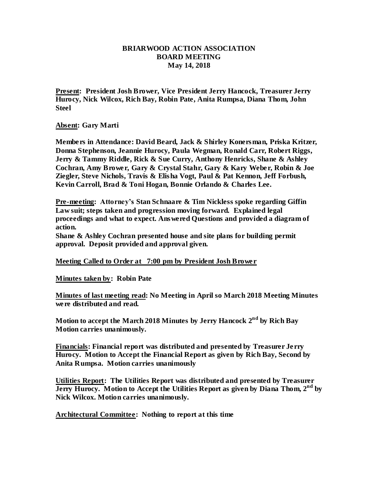# **BRIARWOOD ACTION ASSOCIATION BOARD MEETING May 14, 2018**

**Present: President Josh Brower, Vice President Jerry Hancock, Treasurer Jerry Hurocy, Nick Wilcox, Rich Bay, Robin Pate, Anita Rumpsa, Diana Thom, John Steel**

#### **Absent: Gary Marti**

**Members in Attendance: David Beard, Jack & Shirley Konersman, Priska Kritzer, Donna Stephenson, Jeannie Hurocy, Paula Wegman, Ronald Carr, Robert Riggs, Jerry & Tammy Riddle, Rick & Sue Curry, Anthony Henricks, Shane & Ashley Cochran, Amy Brower, Gary & Crystal Stahr, Gary & Kary Weber, Robin & Joe Ziegler, Steve Nichols, Travis & Elisha Vogt, Paul & Pat Kennon, Jeff Forbush, Kevin Carroll, Brad & Toni Hogan, Bonnie Orlando & Charles Lee.**

**Pre-meeting: Attorney's Stan Schnaare & Tim Nickless spoke regarding Giffin Law suit; steps taken and progression moving forward. Explained legal proceedings and what to expect. Answered Questions and provided a diagram of action.**

**Shane & Ashley Cochran presented house and site plans for building permit approval. Deposit provided and approval given.**

**Meeting Called to Order at 7:00 pm by President Josh Brower**

**Minutes taken by: Robin Pate**

**Minutes of last meeting read: No Meeting in April so March 2018 Meeting Minutes were distributed and read.** 

**Motion to accept the March 2018 Minutes by Jerry Hancock 2 nd by Rich Bay Motion carries unanimously.**

**Financials: Financial report was distributed and presented by Treasurer Jerry Hurocy. Motion to Accept the Financial Report as given by Rich Bay, Second by Anita Rumpsa. Motion carries unanimously** 

**Utilities Report: The Utilities Report was distributed and presented by Treasurer Jerry Hurocy. Motion to Accept the Utilities Report as given by Diana Thom, 2nd by Nick Wilcox. Motion carries unanimously.**

**Architectural Committee: Nothing to report at this time**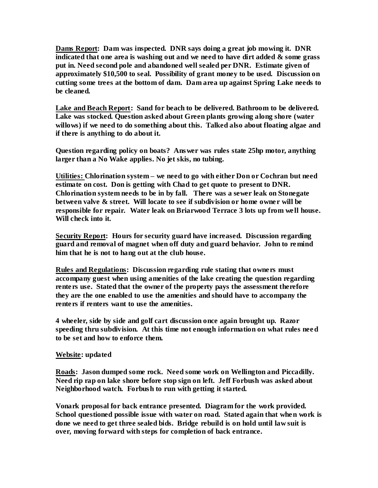**Dams Report: Dam was inspected. DNR says doing a great job mowing it. DNR indicated that one area is washing out and we need to have dirt added & some grass put in. Need second pole and abandoned well sealed per DNR. Estimate given of approximately \$10,500 to seal. Possibility of grant money to be used. Discussion on cutting some trees at the bottom of dam. Dam area up against Spring Lake needs to be cleaned.**

**Lake and Beach Report: Sand for beach to be delivered. Bathroom to be delivered. Lake was stocked. Question asked about Green plants growing along shore (water willows) if we need to do something about this. Talked also about floating algae and if there is anything to do about it.** 

**Question regarding policy on boats? Answer was rules state 25hp motor, anything larger than a No Wake applies. No jet skis, no tubing.**

**Utilities: Chlorination system – we need to go with either Don or Cochran but need estimate on cost. Don is getting with Chad to get quote to present to DNR. Chlorination system needs to be in by fall. There was a sewer leak on Stonegate between valve & street. Will locate to see if subdivision or home owner will be responsible for repair. Water leak on Briarwood Terrace 3 lots up from we ll house. Will check into it.** 

**Security Report: Hours for security guard have increased. Discussion regarding guard and removal of magnet when off duty and guard behavior. John to remind him that he is not to hang out at the club house.** 

**Rules and Regulations: Discussion regarding rule stating that owners must accompany guest when using amenities of the lake creating the question regarding renters use. Stated that the owner of the property pays the assessment therefore they are the one enabled to use the amenities and should have to accompany the renters if renters want to use the amenities.** 

**4 wheeler, side by side and golf cart discussion once again brought up. Razor speeding thru subdivision. At this time not enough information on what rules need to be set and how to enforce them.**

## **Website: updated**

**Roads: Jason dumped some rock. Need some work on Wellington and Piccadilly. Need rip rap on lake shore before stop sign on left. Jeff Forbush was asked about Neighborhood watch. Forbush to run with getting it started.**

**Vonark proposal for back entrance presented. Diagram for the work provided. School questioned possible issue with water on road. Stated again that when work is done we need to get three sealed bids. Bridge rebuild is on hold until law suit is over, moving forward with steps for completion of back entrance.**